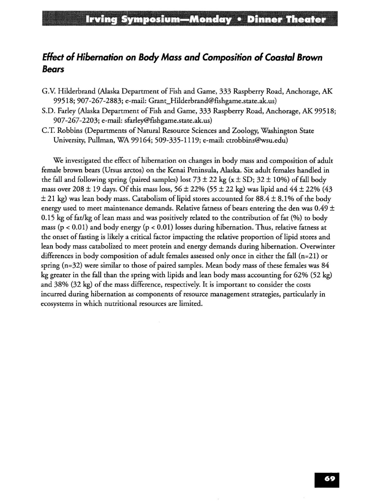## **EHect of Hibernation on Body Mass and Composition of Coastal Brown Bears**

- G.V. Hilderbrand (Alaska Department of Fish and Game, 333 Raspberry Road, Anchorage, AK 99518; 907-267 -2883; e-mail: Grant\_Hilderbrand@fishgame.state.ak.us)
- S.D. Farley (Alaska Department of Fish and Game, 333 Raspberry Road, Anchorage, AK 99518; 907-267 -2203; e-mail: sfarley@fishgame.state.ak.us)
- C.T. Robbins (Departments of Natural Resource Sciences and Zoology, Washington State University, Pullman, WA 99164; 509-335-1119; e-mail: ctrobbins@wsu.edu)

We investigated the effect of hibernation on changes in body mass and composition of adult female brown bears (Ursus arctos) on *the* Kenai Peninsula, Alaska. Six adult females handled in the fall and following spring (paired samples) lost  $73 \pm 22$  kg (x  $\pm$  SD; 32  $\pm$  10%) of fall body mass over 208  $\pm$  19 days. Of this mass loss, 56  $\pm$  22% (55  $\pm$  22 kg) was lipid and 44  $\pm$  22% (43  $\pm$  21 kg) was lean body mass. Catabolism of lipid stores accounted for 88.4  $\pm$  8.1% of the body energy used to meet maintenance demands. Relative fatness of bears entering the den was 0.49  $\pm$ 0.15 kg of fat/kg of lean mass and was positively related to the contribution of fat  $(\%)$  to body mass ( $p < 0.01$ ) and body energy ( $p < 0.01$ ) losses during hibernation. Thus, relative fatness at the onset of fasting is likely a critical factor impacting the relative proportion of lipid stores and lean body mass catabolized to meet protein and energy demands during hibernation. Overwinter differences in body composition of adult females assessed only once in either the fall (n=21) or spring (n=32) *were* similar to *those* of paired samples. Mean body mass of these females was 84 kg greater in the fall than the spring with lipids and lean body mass accounting for 62% (52 kg) and 38% (32 kg) of *the* mass difference, respectively. It is important to consider the costs incurred during hibernation as components of resource management strategies, particularly in ecosystems in which nutritional *resources* are limited.